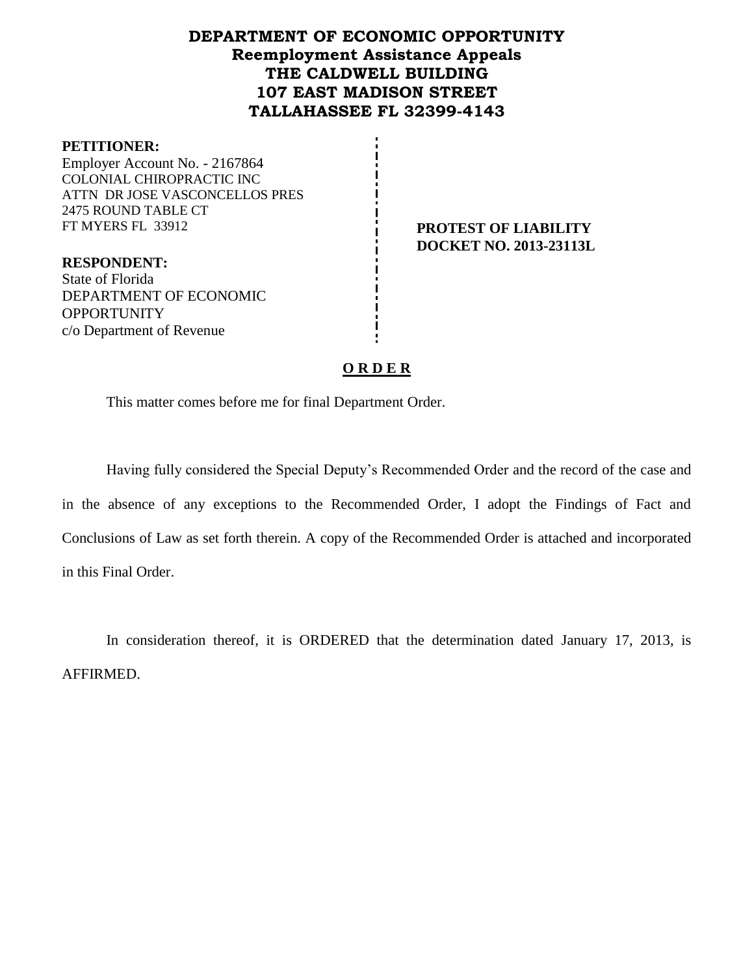# **DEPARTMENT OF ECONOMIC OPPORTUNITY Reemployment Assistance Appeals THE CALDWELL BUILDING 107 EAST MADISON STREET TALLAHASSEE FL 32399-4143**

#### **PETITIONER:**

Employer Account No. - 2167864 COLONIAL CHIROPRACTIC INC ATTN DR JOSE VASCONCELLOS PRES 2475 ROUND TABLE CT FT MYERS FL 33912 **PROTEST OF LIABILITY**

**DOCKET NO. 2013-23113L**

**RESPONDENT:** State of Florida DEPARTMENT OF ECONOMIC **OPPORTUNITY** c/o Department of Revenue

# **O R D E R**

This matter comes before me for final Department Order.

Having fully considered the Special Deputy's Recommended Order and the record of the case and in the absence of any exceptions to the Recommended Order, I adopt the Findings of Fact and Conclusions of Law as set forth therein. A copy of the Recommended Order is attached and incorporated in this Final Order.

In consideration thereof, it is ORDERED that the determination dated January 17, 2013, is AFFIRMED.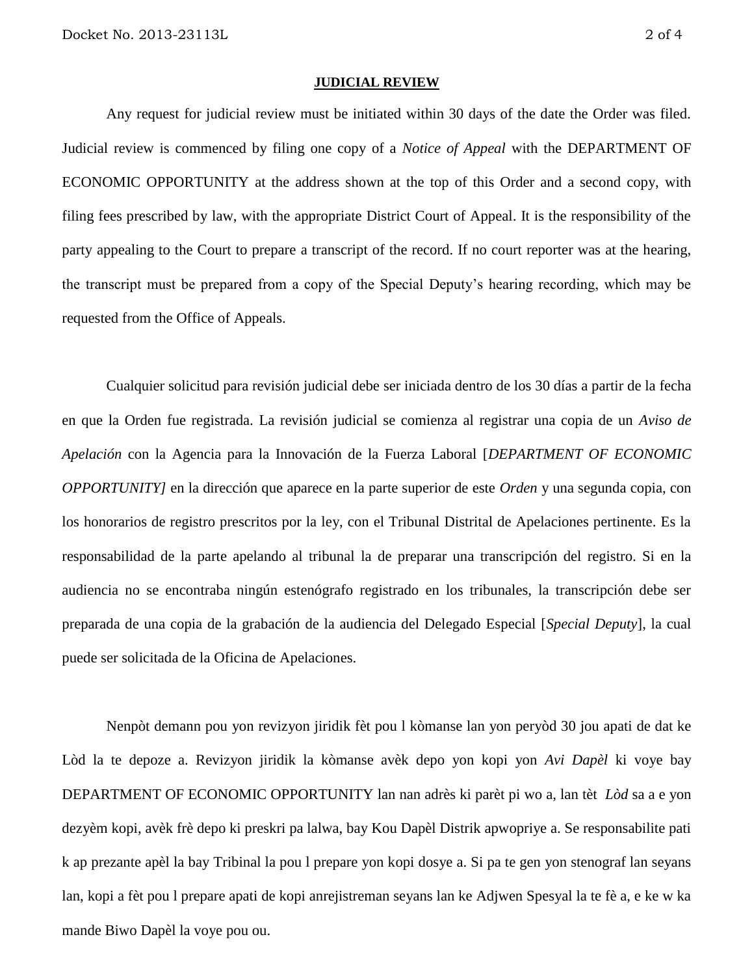#### **JUDICIAL REVIEW**

Any request for judicial review must be initiated within 30 days of the date the Order was filed. Judicial review is commenced by filing one copy of a *Notice of Appeal* with the DEPARTMENT OF ECONOMIC OPPORTUNITY at the address shown at the top of this Order and a second copy, with filing fees prescribed by law, with the appropriate District Court of Appeal. It is the responsibility of the party appealing to the Court to prepare a transcript of the record. If no court reporter was at the hearing, the transcript must be prepared from a copy of the Special Deputy's hearing recording, which may be requested from the Office of Appeals.

Cualquier solicitud para revisión judicial debe ser iniciada dentro de los 30 días a partir de la fecha en que la Orden fue registrada. La revisión judicial se comienza al registrar una copia de un *Aviso de Apelación* con la Agencia para la Innovación de la Fuerza Laboral [*DEPARTMENT OF ECONOMIC OPPORTUNITY]* en la dirección que aparece en la parte superior de este *Orden* y una segunda copia, con los honorarios de registro prescritos por la ley, con el Tribunal Distrital de Apelaciones pertinente. Es la responsabilidad de la parte apelando al tribunal la de preparar una transcripción del registro. Si en la audiencia no se encontraba ningún estenógrafo registrado en los tribunales, la transcripción debe ser preparada de una copia de la grabación de la audiencia del Delegado Especial [*Special Deputy*], la cual puede ser solicitada de la Oficina de Apelaciones.

Nenpòt demann pou yon revizyon jiridik fèt pou l kòmanse lan yon peryòd 30 jou apati de dat ke Lòd la te depoze a. Revizyon jiridik la kòmanse avèk depo yon kopi yon *Avi Dapèl* ki voye bay DEPARTMENT OF ECONOMIC OPPORTUNITY lan nan adrès ki parèt pi wo a, lan tèt *Lòd* sa a e yon dezyèm kopi, avèk frè depo ki preskri pa lalwa, bay Kou Dapèl Distrik apwopriye a. Se responsabilite pati k ap prezante apèl la bay Tribinal la pou l prepare yon kopi dosye a. Si pa te gen yon stenograf lan seyans lan, kopi a fèt pou l prepare apati de kopi anrejistreman seyans lan ke Adjwen Spesyal la te fè a, e ke w ka mande Biwo Dapèl la voye pou ou.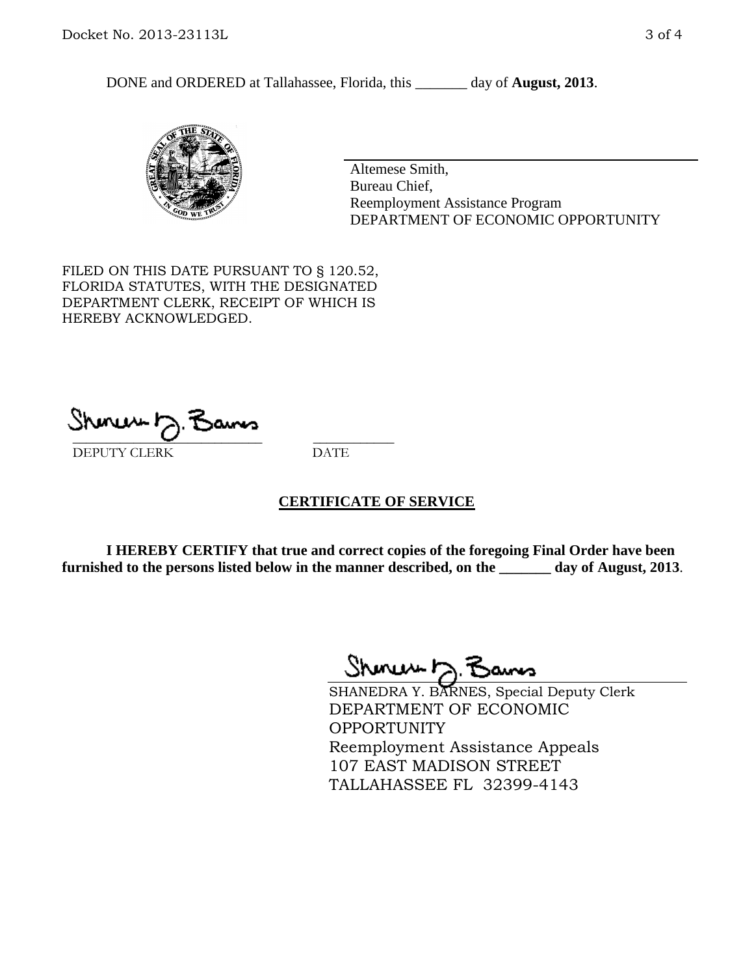DONE and ORDERED at Tallahassee, Florida, this \_\_\_\_\_\_\_ day of **August, 2013**.



Altemese Smith, Bureau Chief, Reemployment Assistance Program DEPARTMENT OF ECONOMIC OPPORTUNITY

FILED ON THIS DATE PURSUANT TO § 120.52, FLORIDA STATUTES, WITH THE DESIGNATED DEPARTMENT CLERK, RECEIPT OF WHICH IS HEREBY ACKNOWLEDGED.

 $\overline{\phantom{a}}$  ,  $\overline{\phantom{a}}$  ,  $\overline{\phantom{a}}$  ,  $\overline{\phantom{a}}$  ,  $\overline{\phantom{a}}$  ,  $\overline{\phantom{a}}$  ,  $\overline{\phantom{a}}$  ,  $\overline{\phantom{a}}$ DEPUTY CLERK DATE

# **CERTIFICATE OF SERVICE**

**I HEREBY CERTIFY that true and correct copies of the foregoing Final Order have been furnished to the persons listed below in the manner described, on the \_\_\_\_\_\_\_ day of August, 2013**.

Shenux D.F

SHANEDRA Y. BARNES, Special Deputy Clerk DEPARTMENT OF ECONOMIC **OPPORTUNITY** Reemployment Assistance Appeals 107 EAST MADISON STREET TALLAHASSEE FL 32399-4143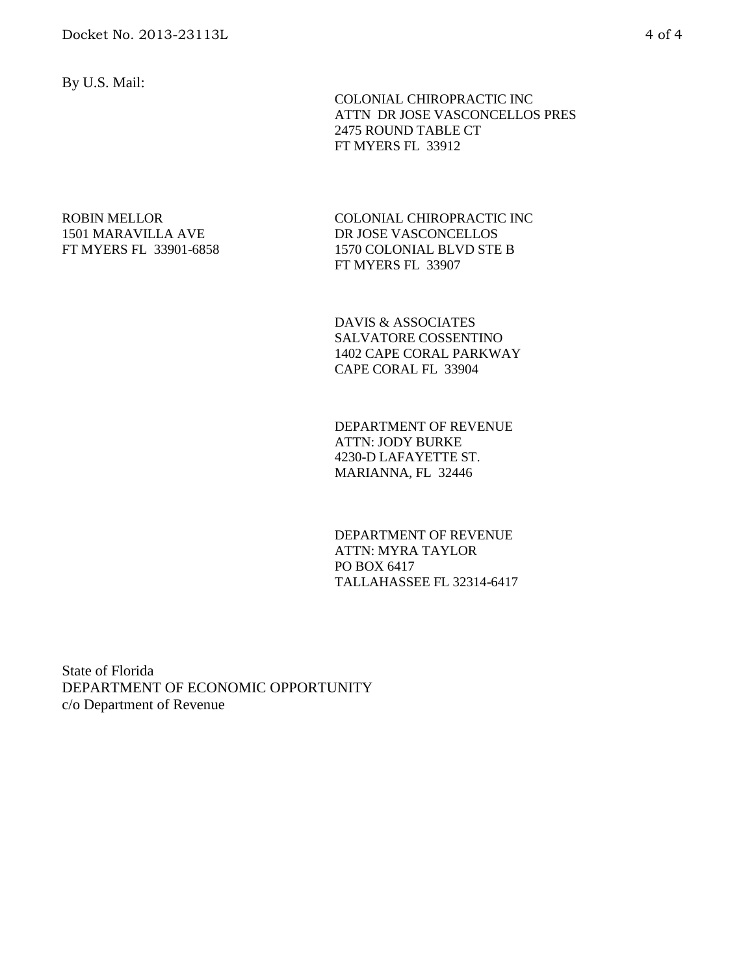By U.S. Mail:

 COLONIAL CHIROPRACTIC INC ATTN DR JOSE VASCONCELLOS PRES 2475 ROUND TABLE CT FT MYERS FL 33912

### ROBIN MELLOR 1501 MARAVILLA AVE FT MYERS FL 33901-6858

COLONIAL CHIROPRACTIC INC DR JOSE VASCONCELLOS 1570 COLONIAL BLVD STE B FT MYERS FL 33907

DAVIS & ASSOCIATES SALVATORE COSSENTINO 1402 CAPE CORAL PARKWAY CAPE CORAL FL 33904

DEPARTMENT OF REVENUE ATTN: JODY BURKE 4230-D LAFAYETTE ST. MARIANNA, FL 32446

DEPARTMENT OF REVENUE ATTN: MYRA TAYLOR PO BOX 6417 TALLAHASSEE FL 32314-6417

State of Florida DEPARTMENT OF ECONOMIC OPPORTUNITY c/o Department of Revenue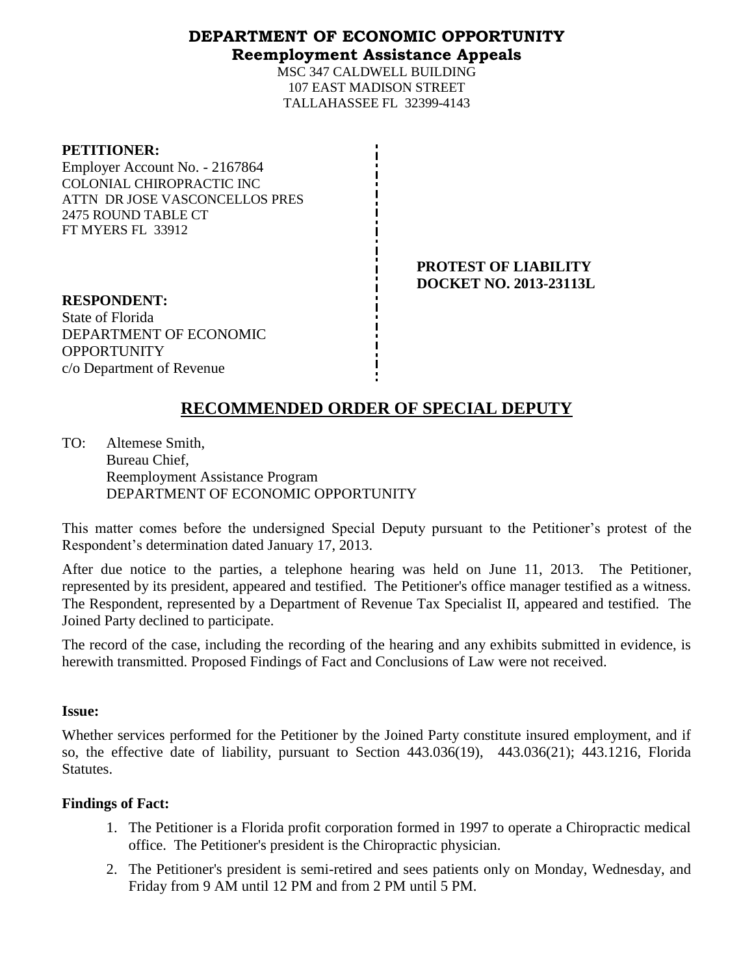# **DEPARTMENT OF ECONOMIC OPPORTUNITY Reemployment Assistance Appeals**

MSC 347 CALDWELL BUILDING 107 EAST MADISON STREET TALLAHASSEE FL 32399-4143

| <b>PETITIONER:</b> |
|--------------------|
|--------------------|

Employer Account No. - 2167864 COLONIAL CHIROPRACTIC INC ATTN DR JOSE VASCONCELLOS PRES 2475 ROUND TABLE CT FT MYERS FL 33912

> **PROTEST OF LIABILITY DOCKET NO. 2013-23113L**

**RESPONDENT:** State of Florida DEPARTMENT OF ECONOMIC **OPPORTUNITY** c/o Department of Revenue

# **RECOMMENDED ORDER OF SPECIAL DEPUTY**

TO: Altemese Smith, Bureau Chief, Reemployment Assistance Program DEPARTMENT OF ECONOMIC OPPORTUNITY

This matter comes before the undersigned Special Deputy pursuant to the Petitioner's protest of the Respondent's determination dated January 17, 2013.

After due notice to the parties, a telephone hearing was held on June 11, 2013. The Petitioner, represented by its president, appeared and testified. The Petitioner's office manager testified as a witness. The Respondent, represented by a Department of Revenue Tax Specialist II, appeared and testified. The Joined Party declined to participate.

The record of the case, including the recording of the hearing and any exhibits submitted in evidence, is herewith transmitted. Proposed Findings of Fact and Conclusions of Law were not received.

# **Issue:**

Whether services performed for the Petitioner by the Joined Party constitute insured employment, and if so, the effective date of liability, pursuant to Section 443.036(19), 443.036(21); 443.1216, Florida Statutes.

# **Findings of Fact:**

- 1. The Petitioner is a Florida profit corporation formed in 1997 to operate a Chiropractic medical office. The Petitioner's president is the Chiropractic physician.
- 2. The Petitioner's president is semi-retired and sees patients only on Monday, Wednesday, and Friday from 9 AM until 12 PM and from 2 PM until 5 PM.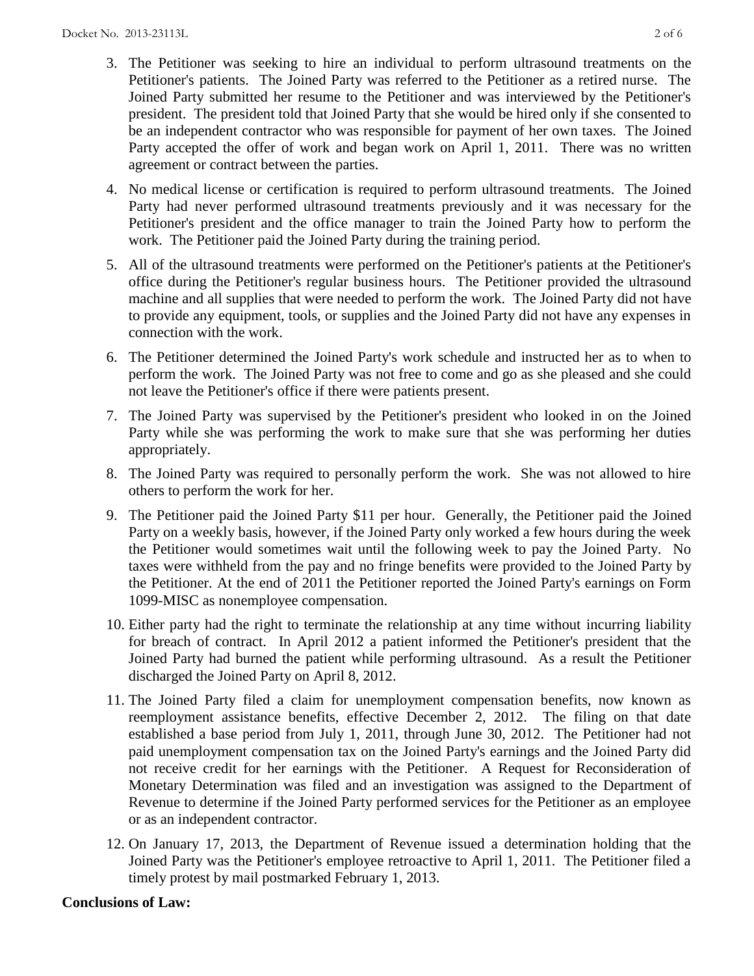- 3. The Petitioner was seeking to hire an individual to perform ultrasound treatments on the Petitioner's patients. The Joined Party was referred to the Petitioner as a retired nurse. The Joined Party submitted her resume to the Petitioner and was interviewed by the Petitioner's president. The president told that Joined Party that she would be hired only if she consented to be an independent contractor who was responsible for payment of her own taxes. The Joined Party accepted the offer of work and began work on April 1, 2011. There was no written agreement or contract between the parties.
- 4. No medical license or certification is required to perform ultrasound treatments. The Joined Party had never performed ultrasound treatments previously and it was necessary for the Petitioner's president and the office manager to train the Joined Party how to perform the work. The Petitioner paid the Joined Party during the training period.
- 5. All of the ultrasound treatments were performed on the Petitioner's patients at the Petitioner's office during the Petitioner's regular business hours. The Petitioner provided the ultrasound machine and all supplies that were needed to perform the work. The Joined Party did not have to provide any equipment, tools, or supplies and the Joined Party did not have any expenses in connection with the work.
- 6. The Petitioner determined the Joined Party's work schedule and instructed her as to when to perform the work. The Joined Party was not free to come and go as she pleased and she could not leave the Petitioner's office if there were patients present.
- 7. The Joined Party was supervised by the Petitioner's president who looked in on the Joined Party while she was performing the work to make sure that she was performing her duties appropriately.
- 8. The Joined Party was required to personally perform the work. She was not allowed to hire others to perform the work for her.
- 9. The Petitioner paid the Joined Party \$11 per hour. Generally, the Petitioner paid the Joined Party on a weekly basis, however, if the Joined Party only worked a few hours during the week the Petitioner would sometimes wait until the following week to pay the Joined Party. No taxes were withheld from the pay and no fringe benefits were provided to the Joined Party by the Petitioner. At the end of 2011 the Petitioner reported the Joined Party's earnings on Form 1099-MISC as nonemployee compensation.
- 10. Either party had the right to terminate the relationship at any time without incurring liability for breach of contract. In April 2012 a patient informed the Petitioner's president that the Joined Party had burned the patient while performing ultrasound. As a result the Petitioner discharged the Joined Party on April 8, 2012.
- 11. The Joined Party filed a claim for unemployment compensation benefits, now known as reemployment assistance benefits, effective December 2, 2012. The filing on that date established a base period from July 1, 2011, through June 30, 2012. The Petitioner had not paid unemployment compensation tax on the Joined Party's earnings and the Joined Party did not receive credit for her earnings with the Petitioner. A Request for Reconsideration of Monetary Determination was filed and an investigation was assigned to the Department of Revenue to determine if the Joined Party performed services for the Petitioner as an employee or as an independent contractor.
- 12. On January 17, 2013, the Department of Revenue issued a determination holding that the Joined Party was the Petitioner's employee retroactive to April 1, 2011. The Petitioner filed a timely protest by mail postmarked February 1, 2013.

# **Conclusions of Law:**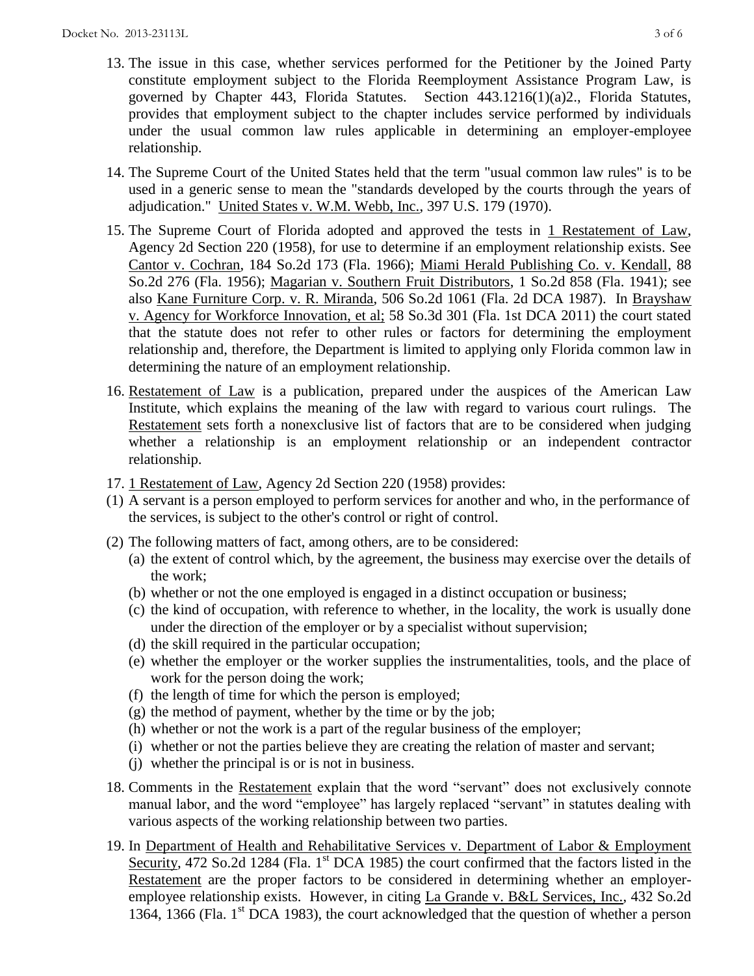- 13. The issue in this case, whether services performed for the Petitioner by the Joined Party constitute employment subject to the Florida Reemployment Assistance Program Law, is governed by Chapter 443, Florida Statutes. Section 443.1216(1)(a)2., Florida Statutes, provides that employment subject to the chapter includes service performed by individuals under the usual common law rules applicable in determining an employer-employee relationship.
- 14. The Supreme Court of the United States held that the term "usual common law rules" is to be used in a generic sense to mean the "standards developed by the courts through the years of adjudication." United States v. W.M. Webb, Inc., 397 U.S. 179 (1970).
- 15. The Supreme Court of Florida adopted and approved the tests in 1 Restatement of Law, Agency 2d Section 220 (1958), for use to determine if an employment relationship exists. See Cantor v. Cochran, 184 So.2d 173 (Fla. 1966); Miami Herald Publishing Co. v. Kendall, 88 So.2d 276 (Fla. 1956); Magarian v. Southern Fruit Distributors, 1 So.2d 858 (Fla. 1941); see also Kane Furniture Corp. v. R. Miranda, 506 So.2d 1061 (Fla. 2d DCA 1987). In Brayshaw v. Agency for Workforce Innovation, et al; 58 So.3d 301 (Fla. 1st DCA 2011) the court stated that the statute does not refer to other rules or factors for determining the employment relationship and, therefore, the Department is limited to applying only Florida common law in determining the nature of an employment relationship.
- 16. Restatement of Law is a publication, prepared under the auspices of the American Law Institute, which explains the meaning of the law with regard to various court rulings. The Restatement sets forth a nonexclusive list of factors that are to be considered when judging whether a relationship is an employment relationship or an independent contractor relationship.
- 17. 1 Restatement of Law, Agency 2d Section 220 (1958) provides:
- (1) A servant is a person employed to perform services for another and who, in the performance of the services, is subject to the other's control or right of control.
- (2) The following matters of fact, among others, are to be considered:
	- (a) the extent of control which, by the agreement, the business may exercise over the details of the work;
	- (b) whether or not the one employed is engaged in a distinct occupation or business;
	- (c) the kind of occupation, with reference to whether, in the locality, the work is usually done under the direction of the employer or by a specialist without supervision;
	- (d) the skill required in the particular occupation;
	- (e) whether the employer or the worker supplies the instrumentalities, tools, and the place of work for the person doing the work;
	- (f) the length of time for which the person is employed;
	- $(g)$  the method of payment, whether by the time or by the job;
	- (h) whether or not the work is a part of the regular business of the employer;
	- (i) whether or not the parties believe they are creating the relation of master and servant;
	- (j) whether the principal is or is not in business.
- 18. Comments in the Restatement explain that the word "servant" does not exclusively connote manual labor, and the word "employee" has largely replaced "servant" in statutes dealing with various aspects of the working relationship between two parties.
- 19. In Department of Health and Rehabilitative Services v. Department of Labor & Employment Security, 472 So.2d 1284 (Fla. 1<sup>st</sup> DCA 1985) the court confirmed that the factors listed in the Restatement are the proper factors to be considered in determining whether an employeremployee relationship exists. However, in citing La Grande v. B&L Services, Inc., 432 So.2d 1364, 1366 (Fla.  $1<sup>st</sup>$  DCA 1983), the court acknowledged that the question of whether a person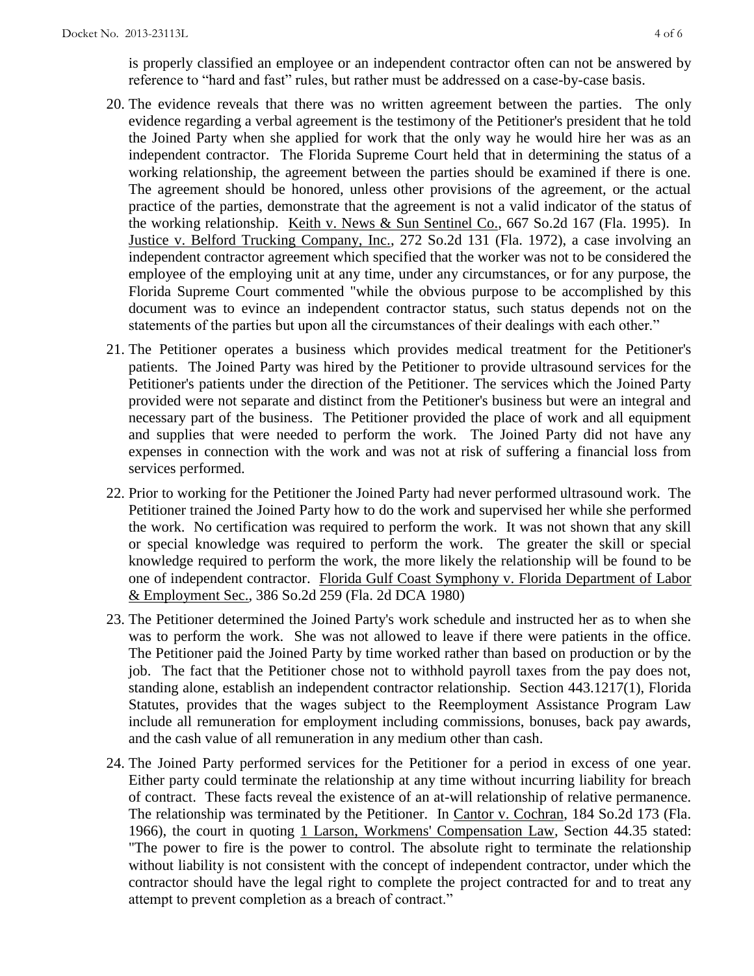is properly classified an employee or an independent contractor often can not be answered by reference to "hard and fast" rules, but rather must be addressed on a case-by-case basis.

- 20. The evidence reveals that there was no written agreement between the parties. The only evidence regarding a verbal agreement is the testimony of the Petitioner's president that he told the Joined Party when she applied for work that the only way he would hire her was as an independent contractor. The Florida Supreme Court held that in determining the status of a working relationship, the agreement between the parties should be examined if there is one. The agreement should be honored, unless other provisions of the agreement, or the actual practice of the parties, demonstrate that the agreement is not a valid indicator of the status of the working relationship. Keith v. News & Sun Sentinel Co., 667 So.2d 167 (Fla. 1995). In Justice v. Belford Trucking Company, Inc., 272 So.2d 131 (Fla. 1972), a case involving an independent contractor agreement which specified that the worker was not to be considered the employee of the employing unit at any time, under any circumstances, or for any purpose, the Florida Supreme Court commented "while the obvious purpose to be accomplished by this document was to evince an independent contractor status, such status depends not on the statements of the parties but upon all the circumstances of their dealings with each other."
- 21. The Petitioner operates a business which provides medical treatment for the Petitioner's patients. The Joined Party was hired by the Petitioner to provide ultrasound services for the Petitioner's patients under the direction of the Petitioner. The services which the Joined Party provided were not separate and distinct from the Petitioner's business but were an integral and necessary part of the business. The Petitioner provided the place of work and all equipment and supplies that were needed to perform the work. The Joined Party did not have any expenses in connection with the work and was not at risk of suffering a financial loss from services performed.
- 22. Prior to working for the Petitioner the Joined Party had never performed ultrasound work. The Petitioner trained the Joined Party how to do the work and supervised her while she performed the work. No certification was required to perform the work. It was not shown that any skill or special knowledge was required to perform the work. The greater the skill or special knowledge required to perform the work, the more likely the relationship will be found to be one of independent contractor. Florida Gulf Coast Symphony v. Florida Department of Labor & Employment Sec., 386 So.2d 259 (Fla. 2d DCA 1980)
- 23. The Petitioner determined the Joined Party's work schedule and instructed her as to when she was to perform the work. She was not allowed to leave if there were patients in the office. The Petitioner paid the Joined Party by time worked rather than based on production or by the job. The fact that the Petitioner chose not to withhold payroll taxes from the pay does not, standing alone, establish an independent contractor relationship. Section 443.1217(1), Florida Statutes, provides that the wages subject to the Reemployment Assistance Program Law include all remuneration for employment including commissions, bonuses, back pay awards, and the cash value of all remuneration in any medium other than cash.
- 24. The Joined Party performed services for the Petitioner for a period in excess of one year. Either party could terminate the relationship at any time without incurring liability for breach of contract. These facts reveal the existence of an at-will relationship of relative permanence. The relationship was terminated by the Petitioner. In Cantor v. Cochran, 184 So.2d 173 (Fla. 1966), the court in quoting 1 Larson, Workmens' Compensation Law, Section 44.35 stated: "The power to fire is the power to control. The absolute right to terminate the relationship without liability is not consistent with the concept of independent contractor, under which the contractor should have the legal right to complete the project contracted for and to treat any attempt to prevent completion as a breach of contract."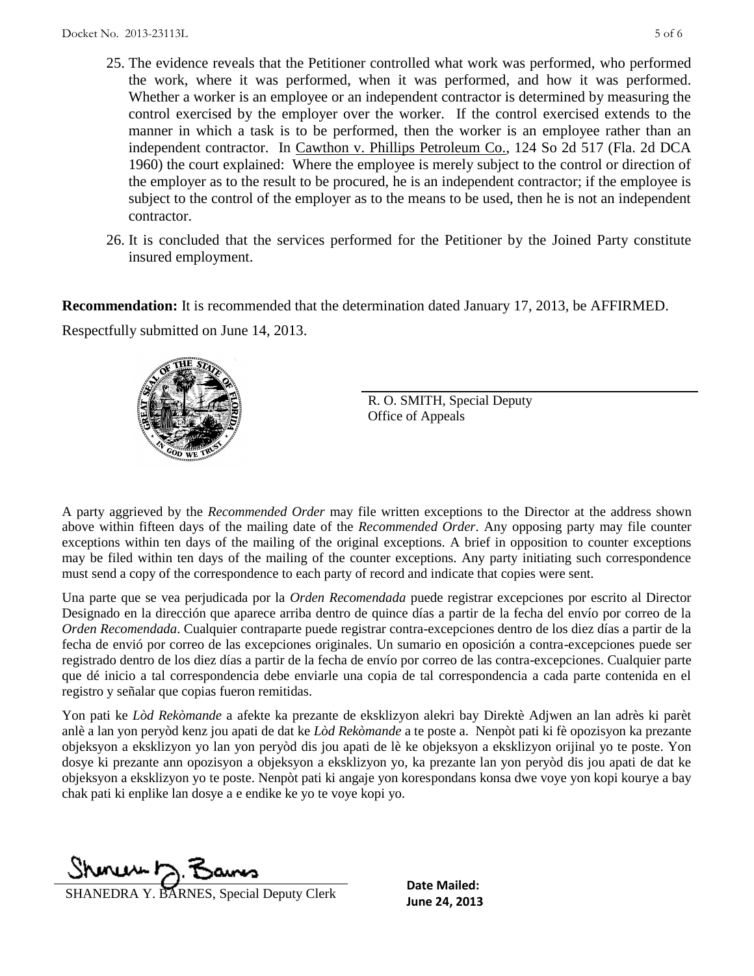- 25. The evidence reveals that the Petitioner controlled what work was performed, who performed the work, where it was performed, when it was performed, and how it was performed. Whether a worker is an employee or an independent contractor is determined by measuring the control exercised by the employer over the worker. If the control exercised extends to the manner in which a task is to be performed, then the worker is an employee rather than an independent contractor. In Cawthon v. Phillips Petroleum Co., 124 So 2d 517 (Fla. 2d DCA 1960) the court explained: Where the employee is merely subject to the control or direction of the employer as to the result to be procured, he is an independent contractor; if the employee is subject to the control of the employer as to the means to be used, then he is not an independent contractor.
- 26. It is concluded that the services performed for the Petitioner by the Joined Party constitute insured employment.

**Recommendation:** It is recommended that the determination dated January 17, 2013, be AFFIRMED.

Respectfully submitted on June 14, 2013.



R. O. SMITH, Special Deputy Office of Appeals

A party aggrieved by the *Recommended Order* may file written exceptions to the Director at the address shown above within fifteen days of the mailing date of the *Recommended Order*. Any opposing party may file counter exceptions within ten days of the mailing of the original exceptions. A brief in opposition to counter exceptions may be filed within ten days of the mailing of the counter exceptions. Any party initiating such correspondence must send a copy of the correspondence to each party of record and indicate that copies were sent.

Una parte que se vea perjudicada por la *Orden Recomendada* puede registrar excepciones por escrito al Director Designado en la dirección que aparece arriba dentro de quince días a partir de la fecha del envío por correo de la *Orden Recomendada*. Cualquier contraparte puede registrar contra-excepciones dentro de los diez días a partir de la fecha de envió por correo de las excepciones originales. Un sumario en oposición a contra-excepciones puede ser registrado dentro de los diez días a partir de la fecha de envío por correo de las contra-excepciones. Cualquier parte que dé inicio a tal correspondencia debe enviarle una copia de tal correspondencia a cada parte contenida en el registro y señalar que copias fueron remitidas.

Yon pati ke *Lòd Rekòmande* a afekte ka prezante de eksklizyon alekri bay Direktè Adjwen an lan adrès ki parèt anlè a lan yon peryòd kenz jou apati de dat ke *Lòd Rekòmande* a te poste a. Nenpòt pati ki fè opozisyon ka prezante objeksyon a eksklizyon yo lan yon peryòd dis jou apati de lè ke objeksyon a eksklizyon orijinal yo te poste. Yon dosye ki prezante ann opozisyon a objeksyon a eksklizyon yo, ka prezante lan yon peryòd dis jou apati de dat ke objeksyon a eksklizyon yo te poste. Nenpòt pati ki angaje yon korespondans konsa dwe voye yon kopi kourye a bay chak pati ki enplike lan dosye a e endike ke yo te voye kopi yo.

Shonew D. Bans

**June 24, 2013**<br>**June 24, 2013** 

**Date Mailed:**